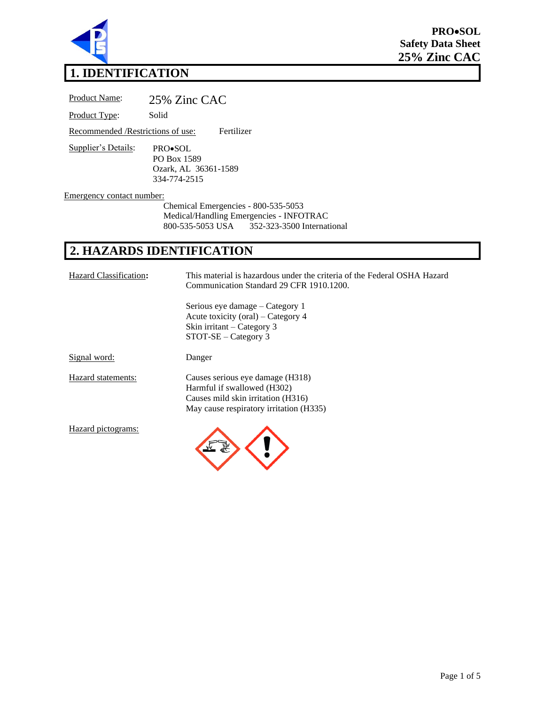

# **1. IDENTIFICATION**

Product Name: 25% Zinc CAC Product Type: Solid Recommended /Restrictions of use: Fertilizer Supplier's Details: PRO•SOL PO Box 1589 Ozark, AL 36361-1589 334-774-2515 Emergency contact number: Chemical Emergencies - 800-535-5053 Medical/Handling Emergencies - INFOTRAC<br>800-535-5053 USA 352-323-3500 Internat

# **2. HAZARDS IDENTIFICATION**

| Hazard Classification: | This material is hazardous under the criteria of the Federal OSHA Hazard<br>Communication Standard 29 CFR 1910.1200.                             |
|------------------------|--------------------------------------------------------------------------------------------------------------------------------------------------|
|                        | Serious eye damage – Category 1<br>Acute toxicity (oral) – Category 4<br>Skin irritant – Category 3<br>$STOT-SE - Category$ 3                    |
| Signal word:           | Danger                                                                                                                                           |
| Hazard statements:     | Causes serious eye damage (H318)<br>Harmful if swallowed (H302)<br>Causes mild skin irritation (H316)<br>May cause respiratory irritation (H335) |
| Hazard pictograms:     |                                                                                                                                                  |

352-323-3500 International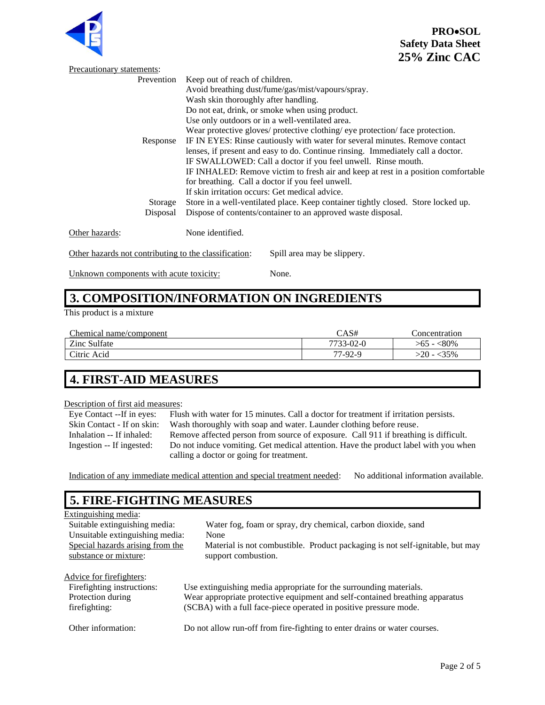

**PRO**•**SOL Safety Data Sheet 25% Zinc CAC**

| Precautionary statements:                             |                                                                                   |  |  |
|-------------------------------------------------------|-----------------------------------------------------------------------------------|--|--|
| Prevention                                            | Keep out of reach of children.                                                    |  |  |
|                                                       | Avoid breathing dust/fume/gas/mist/vapours/spray.                                 |  |  |
|                                                       | Wash skin thoroughly after handling.                                              |  |  |
|                                                       | Do not eat, drink, or smoke when using product.                                   |  |  |
|                                                       | Use only outdoors or in a well-ventilated area.                                   |  |  |
|                                                       | Wear protective gloves/ protective clothing/ eye protection/ face protection.     |  |  |
| Response                                              | IF IN EYES: Rinse cautiously with water for several minutes. Remove contact       |  |  |
|                                                       | lenses, if present and easy to do. Continue rinsing. Immediately call a doctor.   |  |  |
|                                                       | IF SWALLOWED: Call a doctor if you feel unwell. Rinse mouth.                      |  |  |
|                                                       | IF INHALED: Remove victim to fresh air and keep at rest in a position comfortable |  |  |
|                                                       | for breathing. Call a doctor if you feel unwell.                                  |  |  |
|                                                       | If skin irritation occurs: Get medical advice.                                    |  |  |
| Storage                                               | Store in a well-ventilated place. Keep container tightly closed. Store locked up. |  |  |
| Disposal                                              | Dispose of contents/container to an approved waste disposal.                      |  |  |
|                                                       |                                                                                   |  |  |
| Other hazards:                                        | None identified.                                                                  |  |  |
|                                                       |                                                                                   |  |  |
| Other hazards not contributing to the classification: | Spill area may be slippery.                                                       |  |  |

Unknown components with acute toxicity: None.

### **3. COMPOSITION/INFORMATION ON INGREDIENTS**

This product is a mixture

| Chemical name/component | CAS#      | :`oncentration  |
|-------------------------|-----------|-----------------|
| Zinc Sulfate            | 7733-02-0 | $< 80\%$<br>>65 |
| Citric Acid             | 77-92-9   | 35%<br>$-20$    |

# **4. FIRST-AID MEASURES**

#### Description of first aid measures:

Eye Contact --If in eyes: Flush with water for 15 minutes. Call a doctor for treatment if irritation persists. Skin Contact - If on skin: Wash thoroughly with soap and water. Launder clothing before reuse. Inhalation -- If inhaled: Remove affected person from source of exposure. Call 911 if breathing is difficult. Ingestion -- If ingested: Do not induce vomiting. Get medical attention. Have the product label with you when calling a doctor or going for treatment.

Indication of any immediate medical attention and special treatment needed: No additional information available.

### **5. FIRE-FIGHTING MEASURES**

| Extinguishing media:             |                                                                               |
|----------------------------------|-------------------------------------------------------------------------------|
| Suitable extinguishing media:    | Water fog, foam or spray, dry chemical, carbon dioxide, sand                  |
| Unsuitable extinguishing media:  | None                                                                          |
| Special hazards arising from the | Material is not combustible. Product packaging is not self-ignitable, but may |
| substance or mixture:            | support combustion.                                                           |
|                                  |                                                                               |
| Advice for firefighters:         |                                                                               |
| Firefighting instructions:       | Use extinguishing media appropriate for the surrounding materials.            |
| Protection during                | Wear appropriate protective equipment and self-contained breathing apparatus  |
| firefighting:                    | (SCBA) with a full face-piece operated in positive pressure mode.             |
|                                  |                                                                               |
| Other information:               | Do not allow run-off from fire-fighting to enter drains or water courses.     |
|                                  |                                                                               |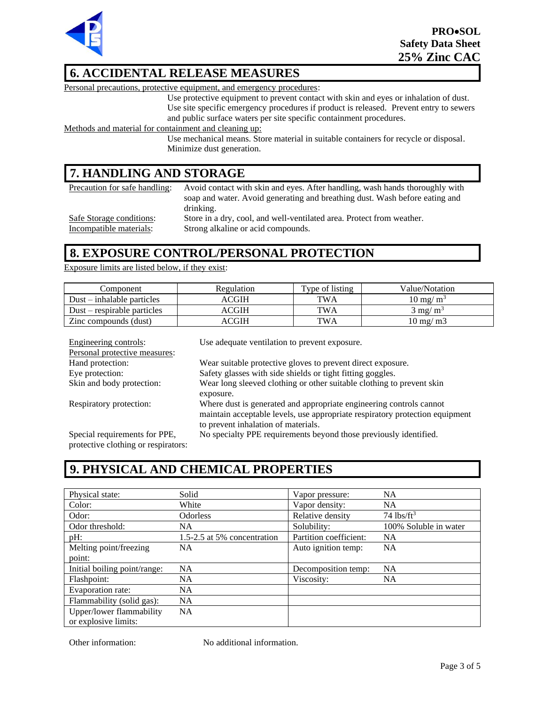

# **6. ACCIDENTAL RELEASE MEASURES**

Personal precautions, protective equipment, and emergency procedures:

Use protective equipment to prevent contact with skin and eyes or inhalation of dust. Use site specific emergency procedures if product is released. Prevent entry to sewers and public surface waters per site specific containment procedures.

Methods and material for containment and cleaning up:

Use mechanical means. Store material in suitable containers for recycle or disposal. Minimize dust generation.

### **7. HANDLING AND STORAGE**

| Precaution for safe handling: | Avoid contact with skin and eyes. After handling, wash hands thoroughly with |
|-------------------------------|------------------------------------------------------------------------------|
|                               | soap and water. Avoid generating and breathing dust. Wash before eating and  |
|                               | drinking.                                                                    |
| Safe Storage conditions:      | Store in a dry, cool, and well-ventilated area. Protect from weather.        |
| Incompatible materials:       | Strong alkaline or acid compounds.                                           |

#### **8. EXPOSURE CONTROL/PERSONAL PROTECTION**

Exposure limits are listed below, if they exist:

| Component                      | Regulation | Type of listing | Value/Notation             |
|--------------------------------|------------|-----------------|----------------------------|
| $Dust - inhalable \ particles$ | ACGIH      | TWA             | $10 \text{ mg/m}^3$        |
| $Dust - respirable$ particles  | ACGIH      | TWA             | $3 \text{ mg/m}^3$         |
| Zinc compounds (dust)          | ACGIH      | TWA             | $10 \text{ mg}/\text{m}$ 3 |

| Engineering controls:               | Use adequate ventilation to prevent exposure.                                |
|-------------------------------------|------------------------------------------------------------------------------|
| Personal protective measures:       |                                                                              |
| Hand protection:                    | Wear suitable protective gloves to prevent direct exposure.                  |
| Eye protection:                     | Safety glasses with side shields or tight fitting goggles.                   |
| Skin and body protection:           | Wear long sleeved clothing or other suitable clothing to prevent skin        |
|                                     | exposure.                                                                    |
| Respiratory protection:             | Where dust is generated and appropriate engineering controls cannot          |
|                                     | maintain acceptable levels, use appropriate respiratory protection equipment |
|                                     | to prevent inhalation of materials.                                          |
| Special requirements for PPE,       | No specialty PPE requirements beyond those previously identified.            |
| protective clothing or respirators: |                                                                              |

### **9. PHYSICAL AND CHEMICAL PROPERTIES**

| Physical state:              | Solid                       | Vapor pressure:        | <b>NA</b>                |
|------------------------------|-----------------------------|------------------------|--------------------------|
| Color:                       | White                       | Vapor density:         | <b>NA</b>                |
| Odor:                        | <b>Odorless</b>             | Relative density       | $74$ lbs/ft <sup>3</sup> |
| Odor threshold:              | NA.                         | Solubility:            | 100% Soluble in water    |
| pH:                          | 1.5-2.5 at 5% concentration | Partition coefficient: | <b>NA</b>                |
| Melting point/freezing       | <b>NA</b>                   | Auto ignition temp:    | <b>NA</b>                |
| point:                       |                             |                        |                          |
| Initial boiling point/range: | NA                          | Decomposition temp:    | <b>NA</b>                |
| Flashpoint:                  | NA                          | Viscosity:             | <b>NA</b>                |
| Evaporation rate:            | NA.                         |                        |                          |
| Flammability (solid gas):    | <b>NA</b>                   |                        |                          |
| Upper/lower flammability     | <b>NA</b>                   |                        |                          |
| or explosive limits:         |                             |                        |                          |

Other information: No additional information.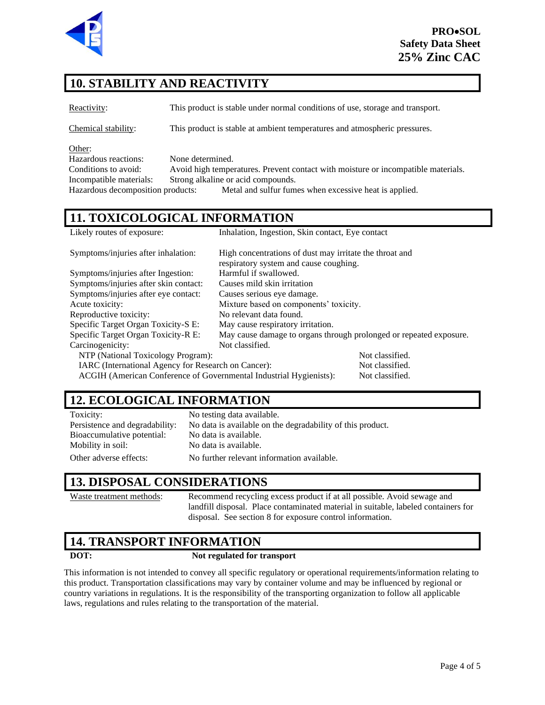

# **10. STABILITY AND REACTIVITY**

Reactivity: This product is stable under normal conditions of use, storage and transport.

Chemical stability: This product is stable at ambient temperatures and atmospheric pressures.

Other:

Hazardous reactions: None determined. Conditions to avoid: Avoid high temperatures. Prevent contact with moisture or incompatible materials. Incompatible materials: Strong alkaline or acid compounds. Hazardous decomposition products: Metal and sulfur fumes when excessive heat is applied.

### **11. TOXICOLOGICAL INFORMATION**

| Likely routes of exposure:                                         | Inhalation, Ingestion, Skin contact, Eye contact                   |                 |
|--------------------------------------------------------------------|--------------------------------------------------------------------|-----------------|
| Symptoms/injuries after inhalation:                                | High concentrations of dust may irritate the throat and            |                 |
|                                                                    | respiratory system and cause coughing.                             |                 |
| Symptoms/injuries after Ingestion:                                 | Harmful if swallowed.                                              |                 |
| Symptoms/injuries after skin contact:                              | Causes mild skin irritation                                        |                 |
| Symptoms/injuries after eye contact:                               | Causes serious eye damage.                                         |                 |
| Acute toxicity:                                                    | Mixture based on components' toxicity.                             |                 |
| Reproductive toxicity:                                             | No relevant data found.                                            |                 |
| Specific Target Organ Toxicity-S E:                                | May cause respiratory irritation.                                  |                 |
| Specific Target Organ Toxicity-R E:                                | May cause damage to organs through prolonged or repeated exposure. |                 |
| Carcinogenicity:                                                   | Not classified.                                                    |                 |
| NTP (National Toxicology Program):                                 |                                                                    | Not classified. |
| IARC (International Agency for Research on Cancer):                |                                                                    | Not classified. |
| ACGIH (American Conference of Governmental Industrial Hygienists): |                                                                    | Not classified. |

### **12. ECOLOGICAL INFORMATION**

| Toxicity:                      | No testing data available.                                 |
|--------------------------------|------------------------------------------------------------|
| Persistence and degradability: | No data is available on the degradability of this product. |
| Bioaccumulative potential:     | No data is available.                                      |
| Mobility in soil:              | No data is available.                                      |
| Other adverse effects:         | No further relevant information available.                 |

#### **13. DISPOSAL CONSIDERATIONS**

Waste treatment methods: Recommend recycling excess product if at all possible. Avoid sewage and landfill disposal. Place contaminated material in suitable, labeled containers for disposal. See section 8 for exposure control information.

#### **14. TRANSPORT INFORMATION**

#### **DOT: Not regulated for transport**

This information is not intended to convey all specific regulatory or operational requirements/information relating to this product. Transportation classifications may vary by container volume and may be influenced by regional or country variations in regulations. It is the responsibility of the transporting organization to follow all applicable laws, regulations and rules relating to the transportation of the material.